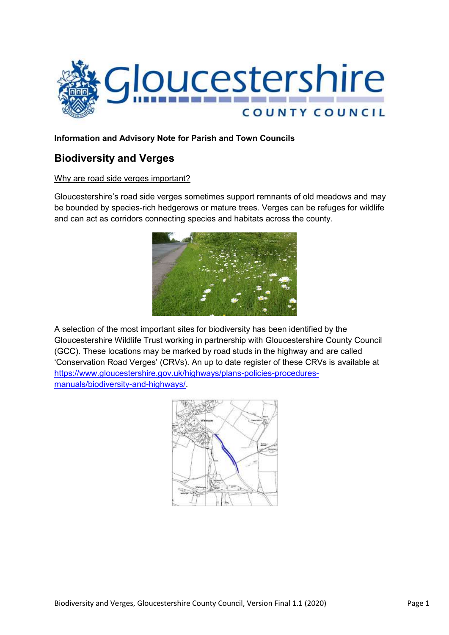

## **Information and Advisory Note for Parish and Town Councils**

# **Biodiversity and Verges**

#### Why are road side verges important?

Gloucestershire's road side verges sometimes support remnants of old meadows and may be bounded by species-rich hedgerows or mature trees. Verges can be refuges for wildlife and can act as corridors connecting species and habitats across the county.



A selection of the most important sites for biodiversity has been identified by the Gloucestershire Wildlife Trust working in partnership with Gloucestershire County Council (GCC). These locations may be marked by road studs in the highway and are called 'Conservation Road Verges' (CRVs). An up to date register of these CRVs is available at [https://www.gloucestershire.gov.uk/highways/plans-policies-procedures](https://www.gloucestershire.gov.uk/highways/plans-policies-procedures-manuals/biodiversity-and-highways/)[manuals/biodiversity-and-highways/.](https://www.gloucestershire.gov.uk/highways/plans-policies-procedures-manuals/biodiversity-and-highways/)

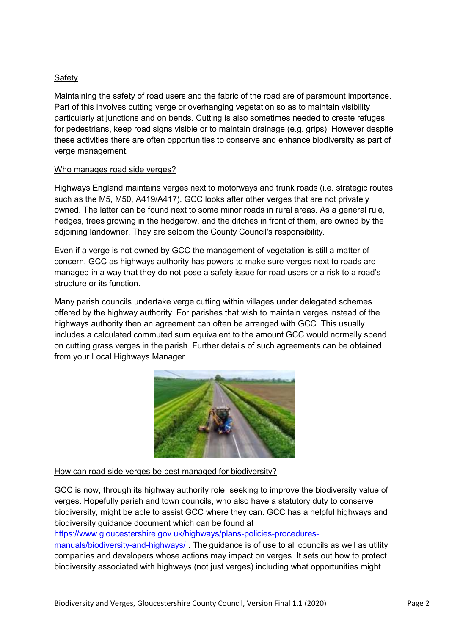## Safety

Maintaining the safety of road users and the fabric of the road are of paramount importance. Part of this involves cutting verge or overhanging vegetation so as to maintain visibility particularly at junctions and on bends. Cutting is also sometimes needed to create refuges for pedestrians, keep road signs visible or to maintain drainage (e.g. grips). However despite these activities there are often opportunities to conserve and enhance biodiversity as part of verge management.

#### Who manages road side verges?

Highways England maintains verges next to motorways and trunk roads (i.e. strategic routes such as the M5, M50, A419/A417). GCC looks after other verges that are not privately owned. The latter can be found next to some minor roads in rural areas. As a general rule, hedges, trees growing in the hedgerow, and the ditches in front of them, are owned by the adjoining landowner. They are seldom the County Council's responsibility.

Even if a verge is not owned by GCC the management of vegetation is still a matter of concern. GCC as highways authority has powers to make sure verges next to roads are managed in a way that they do not pose a safety issue for road users or a risk to a road's structure or its function.

Many parish councils undertake verge cutting within villages under delegated schemes offered by the highway authority. For parishes that wish to maintain verges instead of the highways authority then an agreement can often be arranged with GCC. This usually includes a calculated commuted sum equivalent to the amount GCC would normally spend on cutting grass verges in the parish. Further details of such agreements can be obtained from your Local Highways Manager.



#### How can road side verges be best managed for biodiversity?

GCC is now, through its highway authority role, seeking to improve the biodiversity value of verges. Hopefully parish and town councils, who also have a statutory duty to conserve biodiversity, might be able to assist GCC where they can. GCC has a helpful highways and biodiversity guidance document which can be found at

[https://www.gloucestershire.gov.uk/highways/plans-policies-procedures-](https://www.gloucestershire.gov.uk/highways/plans-policies-procedures-manuals/biodiversity-and-highways/)

[manuals/biodiversity-and-highways/](https://www.gloucestershire.gov.uk/highways/plans-policies-procedures-manuals/biodiversity-and-highways/). The guidance is of use to all councils as well as utility companies and developers whose actions may impact on verges. It sets out how to protect biodiversity associated with highways (not just verges) including what opportunities might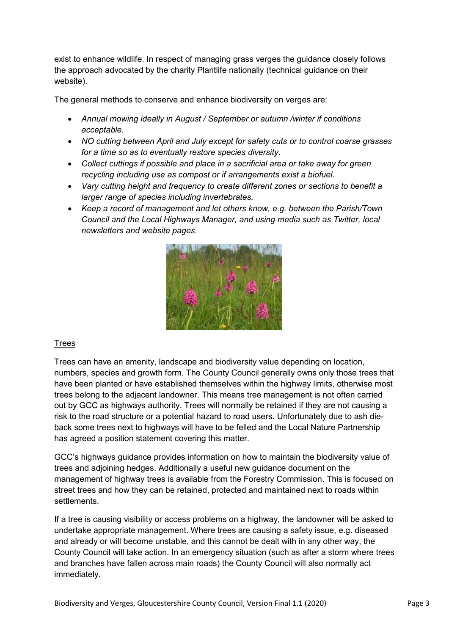exist to enhance wildlife. In respect of managing grass verges the guidance closely follows the approach advocated by the charity Plantlife nationally (technical guidance on their website).

The general methods to conserve and enhance biodiversity on verges are:

- *Annual mowing ideally in August / September or autumn /winter if conditions acceptable.*
- *NO cutting between April and July except for safety cuts or to control coarse grasses for a time so as to eventually restore species diversity.*
- *Collect cuttings if possible and place in a sacrificial area or take away for green recycling including use as compost or if arrangements exist a biofuel.*
- *Vary cutting height and frequency to create different zones or sections to benefit a larger range of species including invertebrates.*
- *Keep a record of management and let others know, e.g. between the Parish/Town Council and the Local Highways Manager, and using media such as Twitter, local newsletters and website pages.*



## **Trees**

Trees can have an amenity, landscape and biodiversity value depending on location, numbers, species and growth form. The County Council generally owns only those trees that have been planted or have established themselves within the highway limits, otherwise most trees belong to the adjacent landowner. This means tree management is not often carried out by GCC as highways authority. Trees will normally be retained if they are not causing a risk to the road structure or a potential hazard to road users. Unfortunately due to ash dieback some trees next to highways will have to be felled and the Local Nature Partnership has agreed a position statement covering this matter.

GCC's highways guidance provides information on how to maintain the biodiversity value of trees and adjoining hedges. Additionally a useful new guidance document on the management of highway trees is available from the Forestry Commission. This is focused on street trees and how they can be retained, protected and maintained next to roads within **settlements** 

If a tree is causing visibility or access problems on a highway, the landowner will be asked to undertake appropriate management. Where trees are causing a safety issue, e.g. diseased and already or will become unstable, and this cannot be dealt with in any other way, the County Council will take action. In an emergency situation (such as after a storm where trees and branches have fallen across main roads) the County Council will also normally act immediately.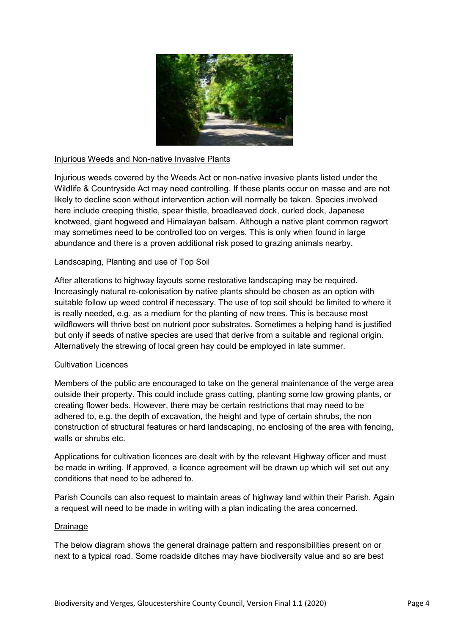

#### Injurious Weeds and Non-native Invasive Plants

Injurious weeds covered by the Weeds Act or non-native invasive plants listed under the Wildlife & Countryside Act may need controlling. If these plants occur on masse and are not likely to decline soon without intervention action will normally be taken. Species involved here include creeping thistle, spear thistle, broadleaved dock, curled dock, Japanese knotweed, giant hogweed and Himalayan balsam. Although a native plant common ragwort may sometimes need to be controlled too on verges. This is only when found in large abundance and there is a proven additional risk posed to grazing animals nearby.

#### Landscaping, Planting and use of Top Soil

After alterations to highway layouts some restorative landscaping may be required. Increasingly natural re-colonisation by native plants should be chosen as an option with suitable follow up weed control if necessary. The use of top soil should be limited to where it is really needed, e.g. as a medium for the planting of new trees. This is because most wildflowers will thrive best on nutrient poor substrates. Sometimes a helping hand is justified but only if seeds of native species are used that derive from a suitable and regional origin. Alternatively the strewing of local green hay could be employed in late summer.

#### Cultivation Licences

Members of the public are encouraged to take on the general maintenance of the verge area outside their property. This could include grass cutting, planting some low growing plants, or creating flower beds. However, there may be certain restrictions that may need to be adhered to, e.g. the depth of excavation, the height and type of certain shrubs, the non construction of structural features or hard landscaping, no enclosing of the area with fencing, walls or shrubs etc.

Applications for cultivation licences are dealt with by the relevant Highway officer and must be made in writing. If approved, a licence agreement will be drawn up which will set out any conditions that need to be adhered to.

Parish Councils can also request to maintain areas of highway land within their Parish. Again a request will need to be made in writing with a plan indicating the area concerned.

#### Drainage

The below diagram shows the general drainage pattern and responsibilities present on or next to a typical road. Some roadside ditches may have biodiversity value and so are best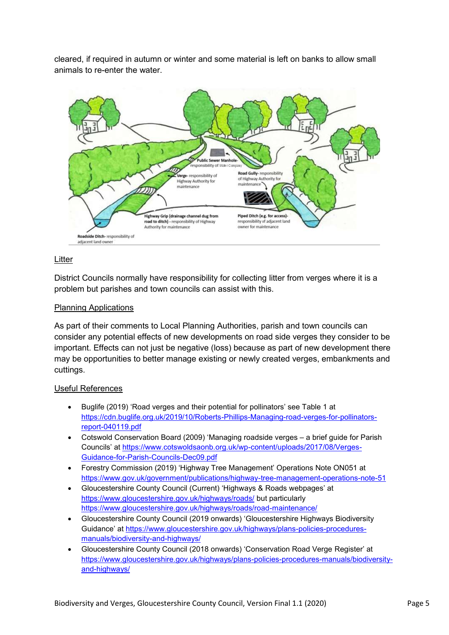cleared, if required in autumn or winter and some material is left on banks to allow small animals to re-enter the water.



#### Litter

District Councils normally have responsibility for collecting litter from verges where it is a problem but parishes and town councils can assist with this.

#### Planning Applications

As part of their comments to Local Planning Authorities, parish and town councils can consider any potential effects of new developments on road side verges they consider to be important. Effects can not just be negative (loss) because as part of new development there may be opportunities to better manage existing or newly created verges, embankments and cuttings.

#### Useful References

- Buglife (2019) 'Road verges and their potential for pollinators' see Table 1 at [https://cdn.buglife.org.uk/2019/10/Roberts-Phillips-Managing-road-verges-for-pollinators](https://cdn.buglife.org.uk/2019/10/Roberts-Phillips-Managing-road-verges-for-pollinators-report-040119.pdf)[report-040119.pdf](https://cdn.buglife.org.uk/2019/10/Roberts-Phillips-Managing-road-verges-for-pollinators-report-040119.pdf)
- Cotswold Conservation Board (2009) 'Managing roadside verges a brief guide for Parish Councils' at [https://www.cotswoldsaonb.org.uk/wp-content/uploads/2017/08/Verges-](https://www.cotswoldsaonb.org.uk/wp-content/uploads/2017/08/Verges-Guidance-for-Parish-Councils-Dec09.pdf)[Guidance-for-Parish-Councils-Dec09.pdf](https://www.cotswoldsaonb.org.uk/wp-content/uploads/2017/08/Verges-Guidance-for-Parish-Councils-Dec09.pdf)
- Forestry Commission (2019) 'Highway Tree Management' Operations Note ON051 at <https://www.gov.uk/government/publications/highway-tree-management-operations-note-51>
- Gloucestershire County Council (Current) 'Highways & Roads webpages' at <https://www.gloucestershire.gov.uk/highways/roads/> but particularly <https://www.gloucestershire.gov.uk/highways/roads/road-maintenance/>
- Gloucestershire County Council (2019 onwards) 'Gloucestershire Highways Biodiversity Guidance' at [https://www.gloucestershire.gov.uk/highways/plans-policies-procedures](https://www.gloucestershire.gov.uk/highways/plans-policies-procedures-manuals/biodiversity-and-highways/)[manuals/biodiversity-and-highways/](https://www.gloucestershire.gov.uk/highways/plans-policies-procedures-manuals/biodiversity-and-highways/)
- Gloucestershire County Council (2018 onwards) 'Conservation Road Verge Register' at [https://www.gloucestershire.gov.uk/highways/plans-policies-procedures-manuals/biodiversity](https://www.gloucestershire.gov.uk/highways/plans-policies-procedures-manuals/biodiversity-and-highways/)[and-highways/](https://www.gloucestershire.gov.uk/highways/plans-policies-procedures-manuals/biodiversity-and-highways/)